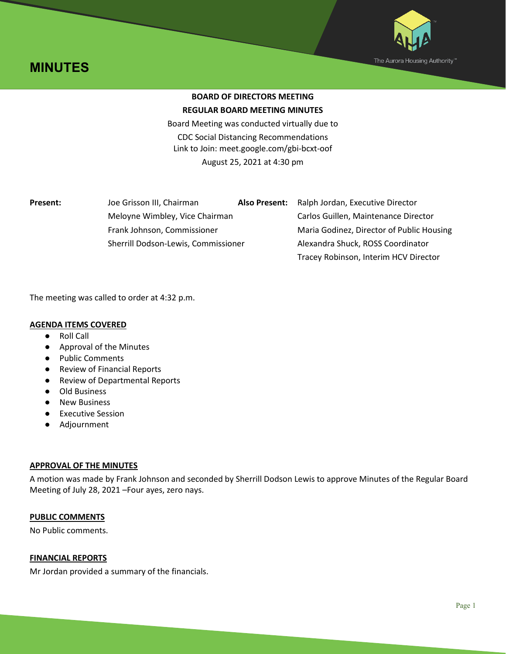



Tracey Robinson, Interim HCV Director

# **BOARD OF DIRECTORS MEETING REGULAR BOARD MEETING MINUTES**

Board Meeting was conducted virtually due to CDC Social Distancing Recommendations Link to Join: [meet.google.com/gbi-bcxt-oof](https://meet.google.com/gbi-bcxt-oof?hs=122&authuser=0) August 25, 2021 at 4:30 pm

| Present: | Joe Grisson III, Chairman           | <b>Also Present:</b> | Ralph Jordan, Executive Director          |
|----------|-------------------------------------|----------------------|-------------------------------------------|
|          |                                     |                      |                                           |
|          | Meloyne Wimbley, Vice Chairman      |                      | Carlos Guillen, Maintenance Director      |
|          | Frank Johnson, Commissioner         |                      | Maria Godinez, Director of Public Housing |
|          | Sherrill Dodson-Lewis, Commissioner |                      | Alexandra Shuck, ROSS Coordinator         |
|          |                                     |                      |                                           |

The meeting was called to order at 4:32 p.m.

## **AGENDA ITEMS COVERED**

- Roll Call
- Approval of the Minutes
- Public Comments
- Review of Financial Reports
- Review of Departmental Reports
- Old Business
- New Business
- Executive Session
- Adjournment

# **APPROVAL OF THE MINUTES**

A motion was made by Frank Johnson and seconded by Sherrill Dodson Lewis to approve Minutes of the Regular Board Meeting of July 28, 2021 –Four ayes, zero nays.

# **PUBLIC COMMENTS**

No Public comments.

## **FINANCIAL REPORTS**

Mr Jordan provided a summary of the financials.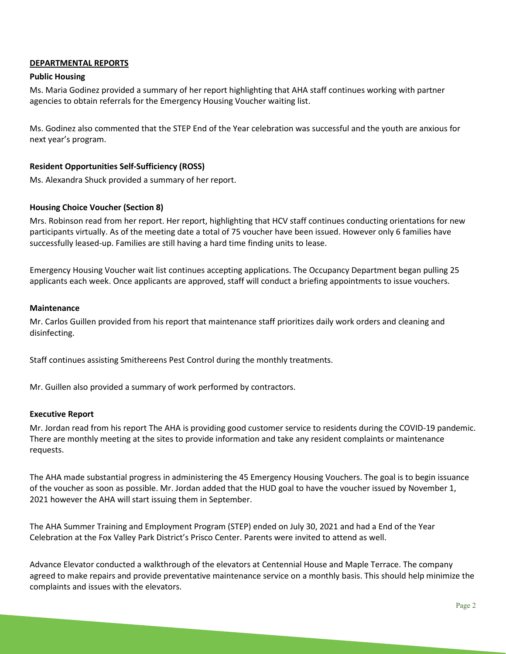# **DEPARTMENTAL REPORTS**

## **Public Housing**

Ms. Maria Godinez provided a summary of her report highlighting that AHA staff continues working with partner agencies to obtain referrals for the Emergency Housing Voucher waiting list.

Ms. Godinez also commented that the STEP End of the Year celebration was successful and the youth are anxious for next year's program.

## **Resident Opportunities Self-Sufficiency (ROSS)**

Ms. Alexandra Shuck provided a summary of her report.

#### **Housing Choice Voucher (Section 8)**

Mrs. Robinson read from her report. Her report, highlighting that HCV staff continues conducting orientations for new participants virtually. As of the meeting date a total of 75 voucher have been issued. However only 6 families have successfully leased-up. Families are still having a hard time finding units to lease.

Emergency Housing Voucher wait list continues accepting applications. The Occupancy Department began pulling 25 applicants each week. Once applicants are approved, staff will conduct a briefing appointments to issue vouchers.

#### **Maintenance**

Mr. Carlos Guillen provided from his report that maintenance staff prioritizes daily work orders and cleaning and disinfecting.

Staff continues assisting Smithereens Pest Control during the monthly treatments.

Mr. Guillen also provided a summary of work performed by contractors.

#### **Executive Report**

Mr. Jordan read from his report The AHA is providing good customer service to residents during the COVID-19 pandemic. There are monthly meeting at the sites to provide information and take any resident complaints or maintenance requests.

The AHA made substantial progress in administering the 45 Emergency Housing Vouchers. The goal is to begin issuance of the voucher as soon as possible. Mr. Jordan added that the HUD goal to have the voucher issued by November 1, 2021 however the AHA will start issuing them in September.

The AHA Summer Training and Employment Program (STEP) ended on July 30, 2021 and had a End of the Year Celebration at the Fox Valley Park District's Prisco Center. Parents were invited to attend as well.

Advance Elevator conducted a walkthrough of the elevators at Centennial House and Maple Terrace. The company agreed to make repairs and provide preventative maintenance service on a monthly basis. This should help minimize the complaints and issues with the elevators.